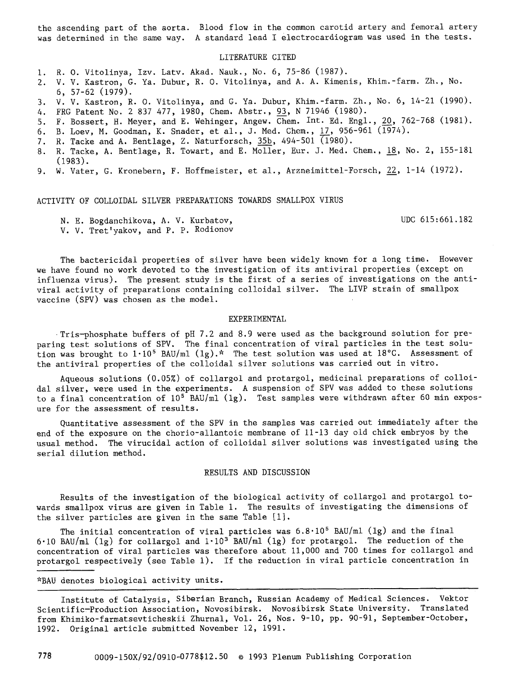the ascending part of the aorta. Blood flow in the common carotid artery and femoral artery was determined in the same way. A standard lead I electrocardiogram was used in the tests.

## LITERATURE CITED

- i. R. O. Vitolinya, Izv. Latv. Akad. Nauk., No. 6, 75-86 (1987).
- 2. V. V. Kastron, G. Ya. Dubur, R. O. Vitolinya, and A. A. Kimenis, Khim.-farm. Zh., No. 6, 57-62 (1979).
- 3. V. V. Kastron, R. O. Vitolinya, and G. Ya. Dubur, Khim.-farm. Zh., No. 6, 14-21 (1990).
- 4. FRG Patent No. 2 837 477, 1980, Chem. Abstr., 93, N 71946 (1980).
- 5. F. Bossert, H. Meyer, and E. Wehinger, Angew. Chem. Int. Ed. Engl., 20, 762-768 (1981).
- 6. B. Loev, M. Goodman, K. Snader, et al., J. Med. Chem., 17, 956-961 (1974).
- 7. R. Tacke and A. Bentlage, Z. Naturforsch,  $35b$ , 494-501  $\overline{(1980)}$ .
- 8. R. Tacke, A. Bentlage, R. Towart, and E. Molier, Eur. J. Med. Chem., 18, No. 2, 155-181 (1983).
- 9. W. Vater, g. Kronebern, F. Hoffmeister, et al., Arzneimittel-Forsch, 22, 1-14 (1972).

ACTIVITY OF COLLOIDAL SILVER PREPARATIONS TOWARDS SMALLPOX VIRUS

UDC 615:661.182

N. E. Bogdanchikova, A. V. Kurbatov, V. V. Tret'yakov, and P. P. Rodionov

The bactericidal properties of silver have been widely known for a long time. However we have found no work devoted to the investigation of its antiviral properties (except on influenza virus). The present study is the first of a series of investigations on the antiviral activity of preparations containing colloidal silver. The LIVP strain of smallpox vaccine (SPV) was chosen as the model.

## EXPERIMENTAL

Tris-phosphate buffers of pH 7.2 and 8.9 were used as the background solution for preparing test solutions of SPV. The final concentration of viral particles in the test solution was brought to  $1.10^5$  BAU/ml  $(1g)$ .\* The test solution was used at 18°C. Assessment of the antiviral properties of the colloidal silver solutions was carried out in vitro.

Aqueous solutions (0.05%) of collargol and protargol, medicinal preparations of colloidal silver, were used in the experiments. A suspension of SPV was added to these solutions to a final concentration of  $10^5$  BAU/ml (1g). Test samples were withdrawn after 60 min exposure for the assessment of results.

Quantitative assessment of the SPV in the samples was carried out immediately after the end of the exposure on the chorio-allantoic membrane of 11-13 day old chick embryos by the usual method. The virucidal action of colloidal silver solutions was investigated using the serial dilution method.

## RESULTS AND DISCUSSION

Results of the investigation of the biological activity of collargol and protargol towards smallpox virus are given in Table i. The results of investigating the dimensions of the silver particles are given in the same Table [i].

The initial concentration of viral particles was  $6.8 \cdot 10^5$  BAU/ml (1g) and the final 6.10 BAU/ml (1g) for collargol and  $1.10^{3}$  BAU/ml (1g) for protargol. The reduction of the concentration of viral particles was therefore about Ii,000 and 700 times for collargol and protargol respectively (see Table 1). If the reduction in viral particle concentration in

\*BAU denotes biological activity units.

Institute of Catalysis, Siberian Branch, Russian Academy of Medical Sciences. Vektor Scientific-Production Association, Novosibirsk. Novosibirsk State University. Translated from Khimiko-farmatsevticheskii Zhurnal, Vol. 26, Nos. 9-10, pp. 90-91, September-October, 1992. Original article submitted November 12, 1991.